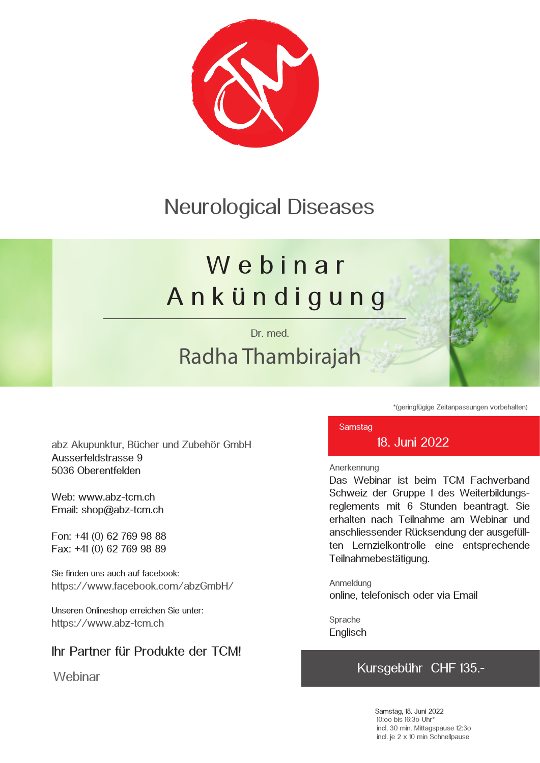### Neurological Diseases

# We b i n a r A n k ü n d i g u n g

Dr. med.

## Radha Thambirajah



\*(geringfügige Zeitanpassungen vorbehalten)

abz Akupunktur, Bücher und Zubehör GmbH Ausserfeldstrasse 9 5036 Oberentfelden

Web: www.abz-tcm.ch Email: shop@abz-tcm.ch

Fon: +41 (0) 62 769 98 88 Fax: +41 (0) 62 769 98 89

Sie finden uns auch auf facebook: https://www.facebook.com/abzGmbH/

Unseren Onlineshop erreichen Sie unter: https://www.abz-tcm.ch

### Ihr Partner für Produkte der TCM!

**Webinar** 

#### **Samstag** 18. Juni 2022

#### Anerkennung

Das Webinar ist beim TCM Fachverband Schweiz der Gruppe 1 des Weiterbildungsreglements mit 6 Stunden beantragt. Sie erhalten nach Teilnahme am Webinar und anschliessender Rücksendung der ausgefüllten Lernzielkontrolle eine entsprechende Teilnahmebestätigung.

Anmeldung online, telefonisch oder via Email

Sprache **Englisch** 

### Kursgebühr CHF 135.-

Samstag, 18. Juni 2022 10:oo bis 16:3o Uhr\* incl. 30 min. Mittagspause 12:3o incl. je 2 x 10 min Schnellpause